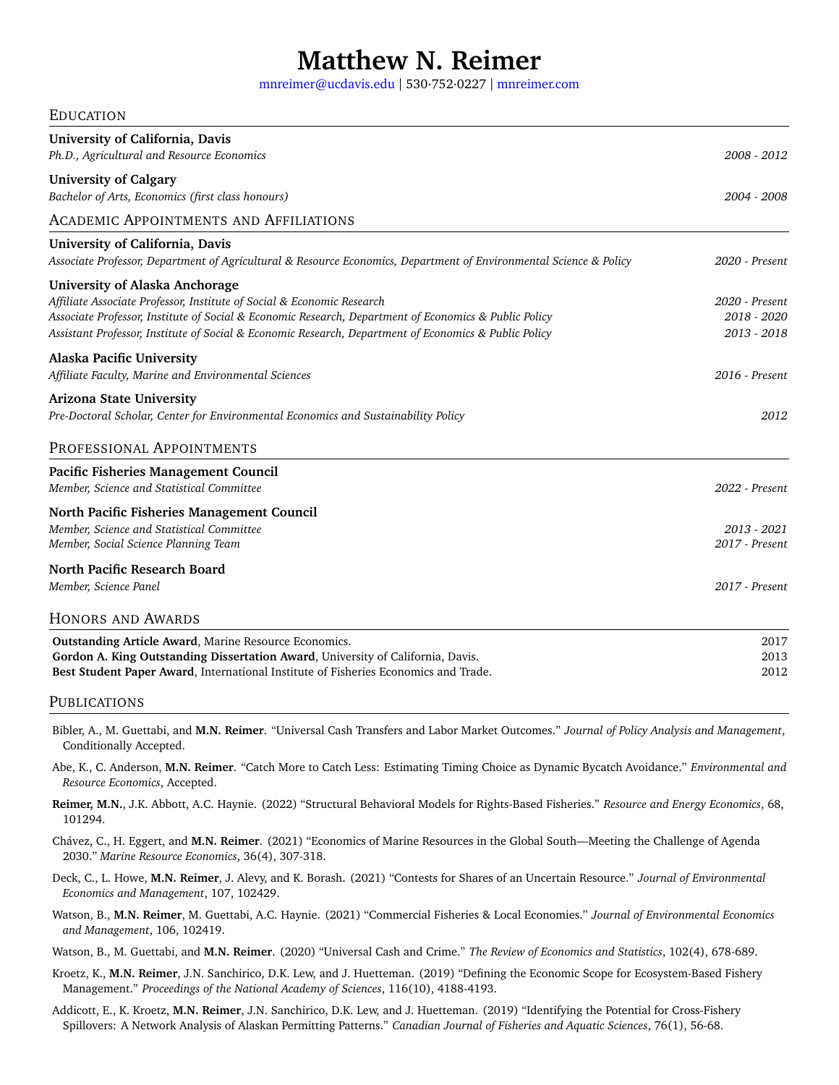# **Matthew N. Reimer**

[mnreimer@ucdavis.edu](mailto:mnreimer@ucdavis.edu) | 530·752·0227 | <mnreimer.com>

### EDUCATION

| University of California, Davis<br>Ph.D., Agricultural and Resource Economics                                                                                                                                                                                                                                                     | 2008 - 2012                                  |
|-----------------------------------------------------------------------------------------------------------------------------------------------------------------------------------------------------------------------------------------------------------------------------------------------------------------------------------|----------------------------------------------|
| <b>University of Calgary</b><br>Bachelor of Arts, Economics (first class honours)                                                                                                                                                                                                                                                 | 2004 - 2008                                  |
| <b>ACADEMIC APPOINTMENTS AND AFFILIATIONS</b>                                                                                                                                                                                                                                                                                     |                                              |
| University of California, Davis<br>Associate Professor, Department of Agricultural & Resource Economics, Department of Environmental Science & Policy                                                                                                                                                                             | 2020 - Present                               |
| <b>University of Alaska Anchorage</b><br>Affiliate Associate Professor, Institute of Social & Economic Research<br>Associate Professor, Institute of Social & Economic Research, Department of Economics & Public Policy<br>Assistant Professor, Institute of Social & Economic Research, Department of Economics & Public Policy | 2020 - Present<br>2018 - 2020<br>2013 - 2018 |
| <b>Alaska Pacific University</b><br>Affiliate Faculty, Marine and Environmental Sciences                                                                                                                                                                                                                                          | 2016 - Present                               |
| <b>Arizona State University</b><br>Pre-Doctoral Scholar, Center for Environmental Economics and Sustainability Policy                                                                                                                                                                                                             | 2012                                         |
| PROFESSIONAL APPOINTMENTS                                                                                                                                                                                                                                                                                                         |                                              |
| Pacific Fisheries Management Council<br>Member, Science and Statistical Committee                                                                                                                                                                                                                                                 | 2022 - Present                               |
| North Pacific Fisheries Management Council<br>Member, Science and Statistical Committee<br>Member, Social Science Planning Team                                                                                                                                                                                                   | 2013 - 2021<br>2017 - Present                |
| North Pacific Research Board<br>Member, Science Panel                                                                                                                                                                                                                                                                             | 2017 - Present                               |
| HONORS AND AWARDS                                                                                                                                                                                                                                                                                                                 |                                              |
| Outstanding Article Award, Marine Resource Economics.<br>Gordon A. King Outstanding Dissertation Award, University of California, Davis.<br>Best Student Paper Award, International Institute of Fisheries Economics and Trade.                                                                                                   | 2017<br>2013<br>2012                         |

## **PUBLICATIONS**

Bibler, A., M. Guettabi, and **M.N. Reimer**. "Universal Cash Transfers and Labor Market Outcomes." *Journal of Policy Analysis and Management*, Conditionally Accepted.

Abe, K., C. Anderson, **M.N. Reimer**. "Catch More to Catch Less: Estimating Timing Choice as Dynamic Bycatch Avoidance." *Environmental and Resource Economics*, Accepted.

**Reimer, M.N.**, J.K. Abbott, A.C. Haynie. (2022) "Structural Behavioral Models for Rights-Based Fisheries." *Resource and Energy Economics*, 68, 101294.

Chávez, C., H. Eggert, and **M.N. Reimer**. (2021) "Economics of Marine Resources in the Global South—Meeting the Challenge of Agenda 2030." *Marine Resource Economics*, 36(4), 307-318.

Deck, C., L. Howe, **M.N. Reimer**, J. Alevy, and K. Borash. (2021) "Contests for Shares of an Uncertain Resource." *Journal of Environmental Economics and Management*, 107, 102429.

Watson, B., **M.N. Reimer**, M. Guettabi, A.C. Haynie. (2021) "Commercial Fisheries & Local Economies." *Journal of Environmental Economics and Management*, 106, 102419.

Watson, B., M. Guettabi, and **M.N. Reimer**. (2020) "Universal Cash and Crime." *The Review of Economics and Statistics*, 102(4), 678-689.

- Kroetz, K., **M.N. Reimer**, J.N. Sanchirico, D.K. Lew, and J. Huetteman. (2019) "Defining the Economic Scope for Ecosystem-Based Fishery Management." *Proceedings of the National Academy of Sciences*, 116(10), 4188-4193.
- Addicott, E., K. Kroetz, **M.N. Reimer**, J.N. Sanchirico, D.K. Lew, and J. Huetteman. (2019) "Identifying the Potential for Cross-Fishery Spillovers: A Network Analysis of Alaskan Permitting Patterns." *Canadian Journal of Fisheries and Aquatic Sciences*, 76(1), 56-68.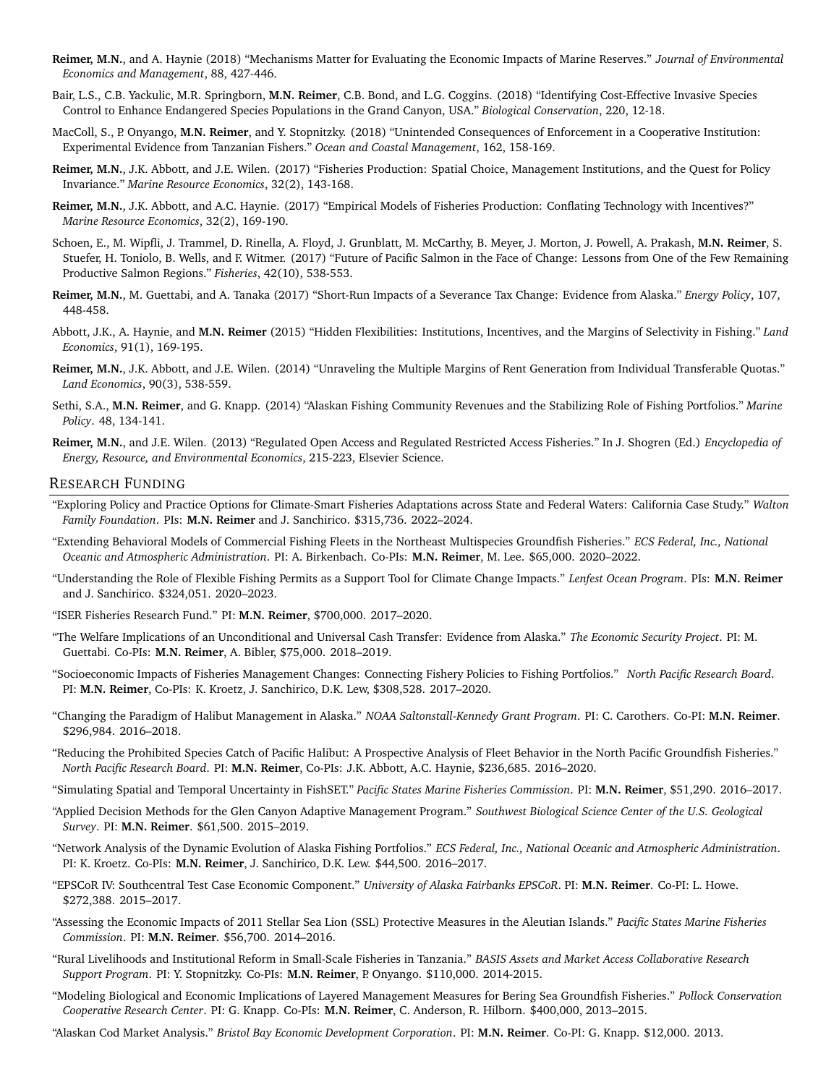- **Reimer, M.N.**, and A. Haynie (2018) "Mechanisms Matter for Evaluating the Economic Impacts of Marine Reserves." *Journal of Environmental Economics and Management*, 88, 427-446.
- Bair, L.S., C.B. Yackulic, M.R. Springborn, **M.N. Reimer**, C.B. Bond, and L.G. Coggins. (2018) "Identifying Cost-Effective Invasive Species Control to Enhance Endangered Species Populations in the Grand Canyon, USA." *Biological Conservation*, 220, 12-18.
- MacColl, S., P. Onyango, **M.N. Reimer**, and Y. Stopnitzky. (2018) "Unintended Consequences of Enforcement in a Cooperative Institution: Experimental Evidence from Tanzanian Fishers." *Ocean and Coastal Management*, 162, 158-169.
- **Reimer, M.N.**, J.K. Abbott, and J.E. Wilen. (2017) "Fisheries Production: Spatial Choice, Management Institutions, and the Quest for Policy Invariance." *Marine Resource Economics*, 32(2), 143-168.
- **Reimer, M.N.**, J.K. Abbott, and A.C. Haynie. (2017) "Empirical Models of Fisheries Production: Conflating Technology with Incentives?" *Marine Resource Economics*, 32(2), 169-190.
- Schoen, E., M. Wipfli, J. Trammel, D. Rinella, A. Floyd, J. Grunblatt, M. McCarthy, B. Meyer, J. Morton, J. Powell, A. Prakash, **M.N. Reimer**, S. Stuefer, H. Toniolo, B. Wells, and F. Witmer. (2017) "Future of Pacific Salmon in the Face of Change: Lessons from One of the Few Remaining Productive Salmon Regions." *Fisheries*, 42(10), 538-553.
- **Reimer, M.N.**, M. Guettabi, and A. Tanaka (2017) "Short-Run Impacts of a Severance Tax Change: Evidence from Alaska." *Energy Policy*, 107, 448-458.
- Abbott, J.K., A. Haynie, and **M.N. Reimer** (2015) "Hidden Flexibilities: Institutions, Incentives, and the Margins of Selectivity in Fishing." *Land Economics*, 91(1), 169-195.
- **Reimer, M.N.**, J.K. Abbott, and J.E. Wilen. (2014) "Unraveling the Multiple Margins of Rent Generation from Individual Transferable Quotas." *Land Economics*, 90(3), 538-559.
- Sethi, S.A., **M.N. Reimer**, and G. Knapp. (2014) "Alaskan Fishing Community Revenues and the Stabilizing Role of Fishing Portfolios." *Marine Policy*. 48, 134-141.
- **Reimer, M.N.**, and J.E. Wilen. (2013) "Regulated Open Access and Regulated Restricted Access Fisheries." In J. Shogren (Ed.) *Encyclopedia of Energy, Resource, and Environmental Economics*, 215-223, Elsevier Science.

#### RESEARCH FUNDING

- "Exploring Policy and Practice Options for Climate-Smart Fisheries Adaptations across State and Federal Waters: California Case Study." *Walton Family Foundation*. PIs: **M.N. Reimer** and J. Sanchirico. \$315,736. 2022–2024.
- "Extending Behavioral Models of Commercial Fishing Fleets in the Northeast Multispecies Groundfish Fisheries." *ECS Federal, Inc., National Oceanic and Atmospheric Administration*. PI: A. Birkenbach. Co-PIs: **M.N. Reimer**, M. Lee. \$65,000. 2020–2022.
- "Understanding the Role of Flexible Fishing Permits as a Support Tool for Climate Change Impacts." *Lenfest Ocean Program*. PIs: **M.N. Reimer** and J. Sanchirico. \$324,051. 2020–2023.
- "ISER Fisheries Research Fund." PI: **M.N. Reimer**, \$700,000. 2017–2020.
- "The Welfare Implications of an Unconditional and Universal Cash Transfer: Evidence from Alaska." *The Economic Security Project*. PI: M. Guettabi. Co-PIs: **M.N. Reimer**, A. Bibler, \$75,000. 2018–2019.
- "Socioeconomic Impacts of Fisheries Management Changes: Connecting Fishery Policies to Fishing Portfolios." *North Pacific Research Board*. PI: **M.N. Reimer**, Co-PIs: K. Kroetz, J. Sanchirico, D.K. Lew, \$308,528. 2017–2020.
- "Changing the Paradigm of Halibut Management in Alaska." *NOAA Saltonstall-Kennedy Grant Program*. PI: C. Carothers. Co-PI: **M.N. Reimer**. \$296,984. 2016–2018.
- "Reducing the Prohibited Species Catch of Pacific Halibut: A Prospective Analysis of Fleet Behavior in the North Pacific Groundfish Fisheries." *North Pacific Research Board*. PI: **M.N. Reimer**, Co-PIs: J.K. Abbott, A.C. Haynie, \$236,685. 2016–2020.
- "Simulating Spatial and Temporal Uncertainty in FishSET." *Pacific States Marine Fisheries Commission*. PI: **M.N. Reimer**, \$51,290. 2016–2017.
- "Applied Decision Methods for the Glen Canyon Adaptive Management Program." *Southwest Biological Science Center of the U.S. Geological Survey*. PI: **M.N. Reimer**. \$61,500. 2015–2019.
- "Network Analysis of the Dynamic Evolution of Alaska Fishing Portfolios." *ECS Federal, Inc., National Oceanic and Atmospheric Administration*. PI: K. Kroetz. Co-PIs: **M.N. Reimer**, J. Sanchirico, D.K. Lew. \$44,500. 2016–2017.
- "EPSCoR IV: Southcentral Test Case Economic Component." *University of Alaska Fairbanks EPSCoR*. PI: **M.N. Reimer**. Co-PI: L. Howe. \$272,388. 2015–2017.
- "Assessing the Economic Impacts of 2011 Stellar Sea Lion (SSL) Protective Measures in the Aleutian Islands." *Pacific States Marine Fisheries Commission*. PI: **M.N. Reimer**. \$56,700. 2014–2016.
- "Rural Livelihoods and Institutional Reform in Small-Scale Fisheries in Tanzania." *BASIS Assets and Market Access Collaborative Research Support Program*. PI: Y. Stopnitzky. Co-PIs: **M.N. Reimer**, P. Onyango. \$110,000. 2014-2015.
- "Modeling Biological and Economic Implications of Layered Management Measures for Bering Sea Groundfish Fisheries." *Pollock Conservation Cooperative Research Center*. PI: G. Knapp. Co-PIs: **M.N. Reimer**, C. Anderson, R. Hilborn. \$400,000, 2013–2015.
- "Alaskan Cod Market Analysis." *Bristol Bay Economic Development Corporation*. PI: **M.N. Reimer**. Co-PI: G. Knapp. \$12,000. 2013.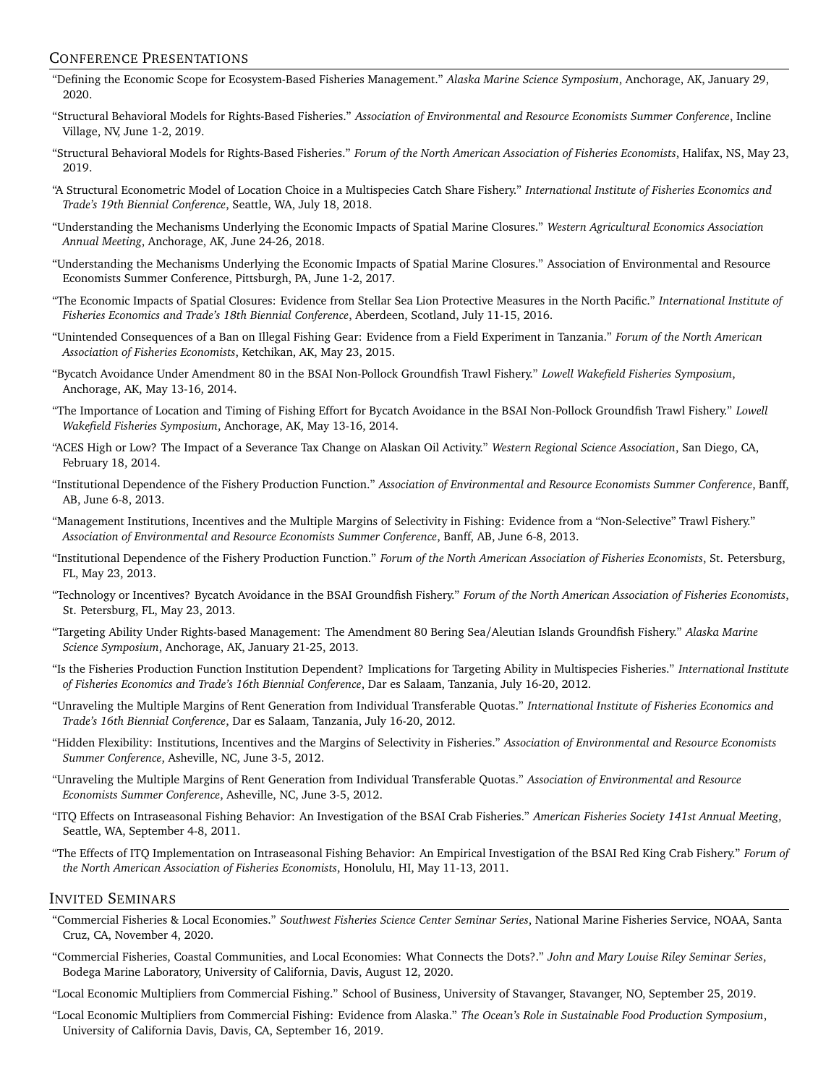## CONFERENCE PRESENTATIONS

- "Defining the Economic Scope for Ecosystem-Based Fisheries Management." *Alaska Marine Science Symposium*, Anchorage, AK, January 29, 2020.
- "Structural Behavioral Models for Rights-Based Fisheries." *Association of Environmental and Resource Economists Summer Conference*, Incline Village, NV, June 1-2, 2019.
- "Structural Behavioral Models for Rights-Based Fisheries." *Forum of the North American Association of Fisheries Economists*, Halifax, NS, May 23, 2019.
- "A Structural Econometric Model of Location Choice in a Multispecies Catch Share Fishery." *International Institute of Fisheries Economics and Trade's 19th Biennial Conference*, Seattle, WA, July 18, 2018.
- "Understanding the Mechanisms Underlying the Economic Impacts of Spatial Marine Closures." *Western Agricultural Economics Association Annual Meeting*, Anchorage, AK, June 24-26, 2018.
- "Understanding the Mechanisms Underlying the Economic Impacts of Spatial Marine Closures." Association of Environmental and Resource Economists Summer Conference, Pittsburgh, PA, June 1-2, 2017.
- "The Economic Impacts of Spatial Closures: Evidence from Stellar Sea Lion Protective Measures in the North Pacific." *International Institute of Fisheries Economics and Trade's 18th Biennial Conference*, Aberdeen, Scotland, July 11-15, 2016.
- "Unintended Consequences of a Ban on Illegal Fishing Gear: Evidence from a Field Experiment in Tanzania." *Forum of the North American Association of Fisheries Economists*, Ketchikan, AK, May 23, 2015.
- "Bycatch Avoidance Under Amendment 80 in the BSAI Non-Pollock Groundfish Trawl Fishery." *Lowell Wakefield Fisheries Symposium*, Anchorage, AK, May 13-16, 2014.
- "The Importance of Location and Timing of Fishing Effort for Bycatch Avoidance in the BSAI Non-Pollock Groundfish Trawl Fishery." *Lowell Wakefield Fisheries Symposium*, Anchorage, AK, May 13-16, 2014.
- "ACES High or Low? The Impact of a Severance Tax Change on Alaskan Oil Activity." *Western Regional Science Association*, San Diego, CA, February 18, 2014.
- "Institutional Dependence of the Fishery Production Function." *Association of Environmental and Resource Economists Summer Conference*, Banff, AB, June 6-8, 2013.
- "Management Institutions, Incentives and the Multiple Margins of Selectivity in Fishing: Evidence from a "Non-Selective" Trawl Fishery." *Association of Environmental and Resource Economists Summer Conference*, Banff, AB, June 6-8, 2013.
- "Institutional Dependence of the Fishery Production Function." *Forum of the North American Association of Fisheries Economists*, St. Petersburg, FL, May 23, 2013.
- "Technology or Incentives? Bycatch Avoidance in the BSAI Groundfish Fishery." *Forum of the North American Association of Fisheries Economists*, St. Petersburg, FL, May 23, 2013.
- "Targeting Ability Under Rights-based Management: The Amendment 80 Bering Sea/Aleutian Islands Groundfish Fishery." *Alaska Marine Science Symposium*, Anchorage, AK, January 21-25, 2013.
- "Is the Fisheries Production Function Institution Dependent? Implications for Targeting Ability in Multispecies Fisheries." *International Institute of Fisheries Economics and Trade's 16th Biennial Conference*, Dar es Salaam, Tanzania, July 16-20, 2012.
- "Unraveling the Multiple Margins of Rent Generation from Individual Transferable Quotas." *International Institute of Fisheries Economics and Trade's 16th Biennial Conference*, Dar es Salaam, Tanzania, July 16-20, 2012.
- "Hidden Flexibility: Institutions, Incentives and the Margins of Selectivity in Fisheries." *Association of Environmental and Resource Economists Summer Conference*, Asheville, NC, June 3-5, 2012.
- "Unraveling the Multiple Margins of Rent Generation from Individual Transferable Quotas." *Association of Environmental and Resource Economists Summer Conference*, Asheville, NC, June 3-5, 2012.
- "ITQ Effects on Intraseasonal Fishing Behavior: An Investigation of the BSAI Crab Fisheries." *American Fisheries Society 141st Annual Meeting*, Seattle, WA, September 4-8, 2011.
- "The Effects of ITQ Implementation on Intraseasonal Fishing Behavior: An Empirical Investigation of the BSAI Red King Crab Fishery." *Forum of the North American Association of Fisheries Economists*, Honolulu, HI, May 11-13, 2011.

## INVITED SEMINARS

- "Commercial Fisheries & Local Economies." *Southwest Fisheries Science Center Seminar Series*, National Marine Fisheries Service, NOAA, Santa Cruz, CA, November 4, 2020.
- "Commercial Fisheries, Coastal Communities, and Local Economies: What Connects the Dots?." *John and Mary Louise Riley Seminar Series*, Bodega Marine Laboratory, University of California, Davis, August 12, 2020.
- "Local Economic Multipliers from Commercial Fishing." School of Business, University of Stavanger, Stavanger, NO, September 25, 2019.
- "Local Economic Multipliers from Commercial Fishing: Evidence from Alaska." *The Ocean's Role in Sustainable Food Production Symposium*, University of California Davis, Davis, CA, September 16, 2019.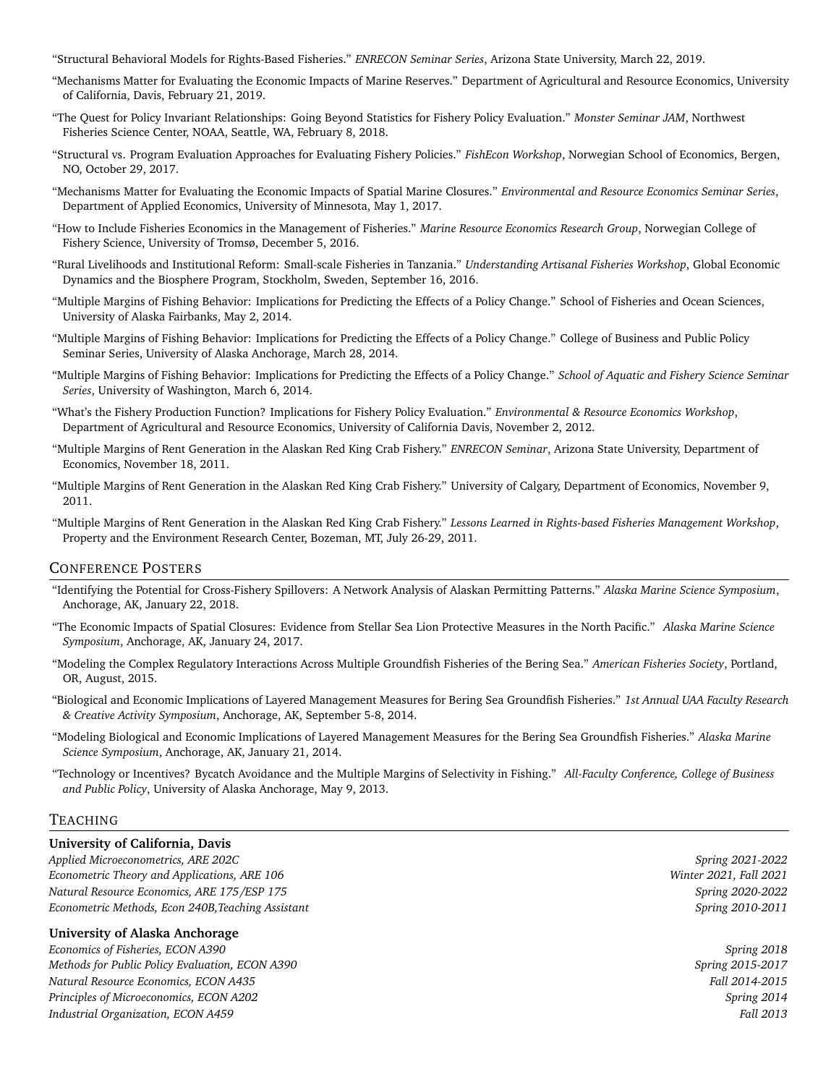"Structural Behavioral Models for Rights-Based Fisheries." *ENRECON Seminar Series*, Arizona State University, March 22, 2019.

- "Mechanisms Matter for Evaluating the Economic Impacts of Marine Reserves." Department of Agricultural and Resource Economics, University of California, Davis, February 21, 2019.
- "The Quest for Policy Invariant Relationships: Going Beyond Statistics for Fishery Policy Evaluation." *Monster Seminar JAM*, Northwest Fisheries Science Center, NOAA, Seattle, WA, February 8, 2018.
- "Structural vs. Program Evaluation Approaches for Evaluating Fishery Policies." *FishEcon Workshop*, Norwegian School of Economics, Bergen, NO, October 29, 2017.
- "Mechanisms Matter for Evaluating the Economic Impacts of Spatial Marine Closures." *Environmental and Resource Economics Seminar Series*, Department of Applied Economics, University of Minnesota, May 1, 2017.
- "How to Include Fisheries Economics in the Management of Fisheries." *Marine Resource Economics Research Group*, Norwegian College of Fishery Science, University of Tromsø, December 5, 2016.
- "Rural Livelihoods and Institutional Reform: Small-scale Fisheries in Tanzania." *Understanding Artisanal Fisheries Workshop*, Global Economic Dynamics and the Biosphere Program, Stockholm, Sweden, September 16, 2016.
- "Multiple Margins of Fishing Behavior: Implications for Predicting the Effects of a Policy Change." School of Fisheries and Ocean Sciences, University of Alaska Fairbanks, May 2, 2014.
- "Multiple Margins of Fishing Behavior: Implications for Predicting the Effects of a Policy Change." College of Business and Public Policy Seminar Series, University of Alaska Anchorage, March 28, 2014.
- "Multiple Margins of Fishing Behavior: Implications for Predicting the Effects of a Policy Change." *School of Aquatic and Fishery Science Seminar Series*, University of Washington, March 6, 2014.
- "What's the Fishery Production Function? Implications for Fishery Policy Evaluation." *Environmental & Resource Economics Workshop*, Department of Agricultural and Resource Economics, University of California Davis, November 2, 2012.
- "Multiple Margins of Rent Generation in the Alaskan Red King Crab Fishery." *ENRECON Seminar*, Arizona State University, Department of Economics, November 18, 2011.
- "Multiple Margins of Rent Generation in the Alaskan Red King Crab Fishery." University of Calgary, Department of Economics, November 9, 2011.
- "Multiple Margins of Rent Generation in the Alaskan Red King Crab Fishery." *Lessons Learned in Rights-based Fisheries Management Workshop*, Property and the Environment Research Center, Bozeman, MT, July 26-29, 2011.

## CONFERENCE POSTERS

- "Identifying the Potential for Cross-Fishery Spillovers: A Network Analysis of Alaskan Permitting Patterns." *Alaska Marine Science Symposium*, Anchorage, AK, January 22, 2018.
- "The Economic Impacts of Spatial Closures: Evidence from Stellar Sea Lion Protective Measures in the North Pacific." *Alaska Marine Science Symposium*, Anchorage, AK, January 24, 2017.
- "Modeling the Complex Regulatory Interactions Across Multiple Groundfish Fisheries of the Bering Sea." *American Fisheries Society*, Portland, OR, August, 2015.
- "Biological and Economic Implications of Layered Management Measures for Bering Sea Groundfish Fisheries." *1st Annual UAA Faculty Research & Creative Activity Symposium*, Anchorage, AK, September 5-8, 2014.
- "Modeling Biological and Economic Implications of Layered Management Measures for the Bering Sea Groundfish Fisheries." *Alaska Marine Science Symposium*, Anchorage, AK, January 21, 2014.
- "Technology or Incentives? Bycatch Avoidance and the Multiple Margins of Selectivity in Fishing." *All-Faculty Conference, College of Business and Public Policy*, University of Alaska Anchorage, May 9, 2013.

#### TEACHING

## **University of California, Davis**

*Applied Microeconometrics, ARE 202C Spring 2021-2022 Econometric Theory and Applications, ARE 106 Winter 2021, Fall 2021 Natural Resource Economics, ARE 175/ESP 175 Spring 2020-2022 Econometric Methods, Econ 240B,Teaching Assistant Spring 2010-2011*

## **University of Alaska Anchorage**

*Economics of Fisheries, ECON A390 Spring 2018 Methods for Public Policy Evaluation, ECON A390 Spring 2015-2017 Natural Resource Economics, ECON A435 Fall 2014-2015 Principles of Microeconomics, ECON A202 Spring 2014 Industrial Organization, ECON A459 Fall 2013*